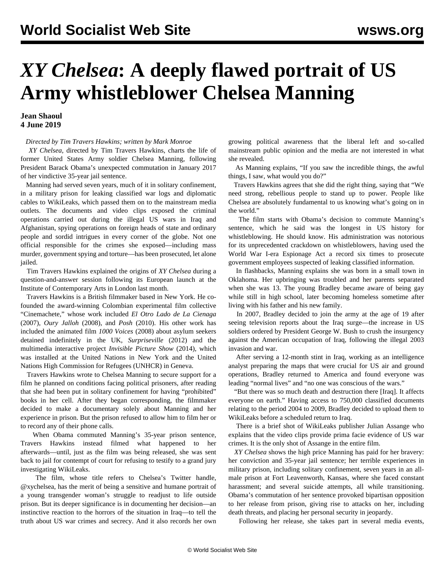## *XY Chelsea***: A deeply flawed portrait of US Army whistleblower Chelsea Manning**

## **Jean Shaoul 4 June 2019**

## *Directed by Tim Travers Hawkins; written by Mark Monroe*

 *XY Chelsea*, directed by Tim Travers Hawkins, charts the life of former United States Army soldier Chelsea Manning, following President Barack Obama's unexpected commutation in January 2017 of her vindictive 35-year jail sentence.

 Manning had served seven years, much of it in solitary confinement, in a military prison for leaking classified war logs and diplomatic cables to WikiLeaks, which passed them on to the mainstream media outlets. The documents and video clips exposed the criminal operations carried out during the illegal US wars in Iraq and Afghanistan, spying operations on foreign heads of state and ordinary people and sordid intrigues in every corner of the globe. Not one official responsible for the crimes she exposed—including mass murder, government spying and torture—has been prosecuted, let alone jailed.

 Tim Travers Hawkins explained the origins of *XY Chelsea* during a question-and-answer session following its European launch at the Institute of Contemporary Arts in London last month.

 Travers Hawkins is a British filmmaker based in New York. He cofounded the award-winning Colombian experimental film collective "Cinemachete," whose work included *El Otro Lado de La Cienaga* (2007), *Oury Jalloh* (2008), and *Posh* (2010). His other work has included the animated film *1000 Voices* (2008) about asylum seekers detained indefinitely in the UK, *Surpriseville* (2012) and the multimedia interactive project *Invisible Picture Show* (2014), which was installed at the United Nations in New York and the United Nations High Commission for Refugees (UNHCR) in Geneva.

 Travers Hawkins wrote to Chelsea Manning to secure support for a film he planned on conditions facing political prisoners, after reading that she had been put in solitary confinement for having "prohibited" books in her cell. After they began corresponding, the filmmaker decided to make a documentary solely about Manning and her experience in prison. But the prison refused to allow him to film her or to record any of their phone calls.

 When Obama commuted Manning's 35-year prison sentence, Travers Hawkins instead filmed what happened to her afterwards—until, just as the film was being released, she was sent back to jail for contempt of court for refusing to testify to a grand jury investigating WikiLeaks.

 The film, whose title refers to Chelsea's Twitter handle, @xychelsea, has the merit of being a sensitive and humane portrait of a young transgender woman's struggle to readjust to life outside prison. But its deeper significance is in documenting her decision—an instinctive reaction to the horrors of the situation in Iraq—to tell the truth about US war crimes and secrecy. And it also records her own growing political awareness that the liberal left and so-called mainstream public opinion and the media are not interested in what she revealed.

 As Manning explains, "If you saw the incredible things, the awful things, I saw, what would you do?"

 Travers Hawkins agrees that she did the right thing, saying that "We need strong, rebellious people to stand up to power. People like Chelsea are absolutely fundamental to us knowing what's going on in the world."

 The film starts with Obama's decision to commute Manning's sentence, which he said was the longest in US history for whistleblowing. He should know. His administration was notorious for its unprecedented crackdown on whistleblowers, having used the World War I-era Espionage Act a record six times to prosecute government employees suspected of leaking classified information.

 In flashbacks, Manning explains she was born in a small town in Oklahoma. Her upbringing was troubled and her parents separated when she was 13. The young Bradley became aware of being gay while still in high school, later becoming homeless sometime after living with his father and his new family.

 In 2007, Bradley decided to join the army at the age of 19 after seeing television reports about the Iraq surge—the increase in US soldiers ordered by President George W. Bush to crush the insurgency against the American occupation of Iraq, following the illegal 2003 invasion and war.

 After serving a 12-month stint in Iraq, working as an intelligence analyst preparing the maps that were crucial for US air and ground operations, Bradley returned to America and found everyone was leading "normal lives" and "no one was conscious of the wars."

 "But there was so much death and destruction there [Iraq]. It affects everyone on earth." Having access to 750,000 classified documents relating to the period 2004 to 2009, Bradley decided to upload them to WikiLeaks before a scheduled return to Iraq.

 There is a brief shot of WikiLeaks publisher Julian Assange who explains that the video clips provide prima facie evidence of US war crimes. It is the only shot of Assange in the entire film.

 *XY Chelsea* shows the high price Manning has paid for her bravery: her conviction and 35-year jail sentence; her terrible experiences in military prison, including solitary confinement, seven years in an allmale prison at Fort Leavenworth, Kansas, where she faced constant harassment; and several suicide attempts, all while transitioning. Obama's commutation of her sentence provoked bipartisan opposition to her release from prison, giving rise to attacks on her, including death threats, and placing her personal security in jeopardy.

Following her release, she takes part in several media events,